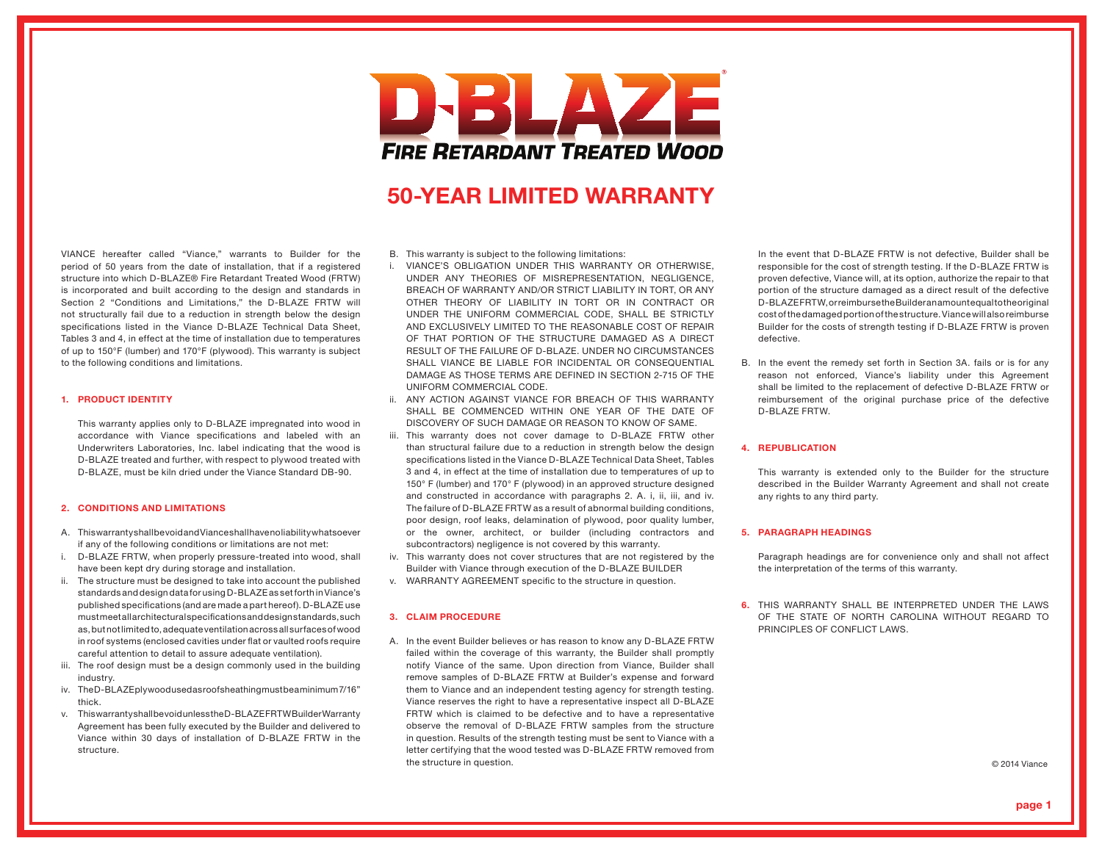# DBLAZE **FIRE RETARDANT TREATED WOOD**

# 50-YEAR LIMITED WARRANTY

VIANCE hereafter called "Viance," warrants to Builder for the period of 50 years from the date of installation, that if a registered structure into which D-BLAZE® Fire Retardant Treated Wood (FRTW) is incorporated and built according to the design and standards in Section 2 "Conditions and Limitations," the D-BLAZE FRTW will not structurally fail due to a reduction in strength below the design specifications listed in the Viance D-BLAZE Technical Data Sheet, Tables 3 and 4, in effect at the time of installation due to temperatures of up to 150°F (lumber) and 170°F (plywood). This warranty is subject to the following conditions and limitations.

#### 1. PRODUCT IDENTITY

 This warranty applies only to D-BLAZE impregnated into wood in accordance with Viance specifications and labeled with an Underwriters Laboratories, Inc. label indicating that the wood is D-BLAZE treated and further, with respect to plywood treated with D-BLAZE, must be kiln dried under the Viance Standard DB-90.

#### 2. CONDITIONS AND LIMITATIONS

- A. This warranty shall be void and Viance shall have no liability whatsoever if any of the following conditions or limitations are not met:
- i. D-BLAZE FRTW, when properly pressure-treated into wood, shall have been kept dry during storage and installation.
- ii. The structure must be designed to take into account the published standards and design data for using D-BLAZE as set forth in Viance's published specifications (and are made a part hereof). D-BLAZE use must meet all architectural specifications and design standards, such as, but not limited to, adequate ventilation across all surfaces of wood in roof systems (enclosed cavities under flat or vaulted roofs require careful attention to detail to assure adequate ventilation).
- iii. The roof design must be a design commonly used in the building industry.
- iv. The D-BLAZE plywood used as roof sheathing must be a minimum 7/16" thick.
- v. This warranty shall be void unless the D-BLAZE FRTW Builder Warranty Agreement has been fully executed by the Builder and delivered to Viance within 30 days of installation of D-BLAZE FRTW in the structure.

#### B. This warranty is subject to the following limitations:

- i. VIANCE'S OBLIGATION UNDER THIS WARRANTY OR OTHERWISE, UNDER ANY THEORIES OF MISREPRESENTATION, NEGLIGENCE, BREACH OF WARRANTY AND/OR STRICT LIABILITY IN TORT, OR ANY OTHER THEORY OF LIABILITY IN TORT OR IN CONTRACT OR UNDER THE UNIFORM COMMERCIAL CODE, SHALL BE STRICTLY AND EXCLUSIVELY LIMITED TO THE REASONABLE COST OF REPAIR OF THAT PORTION OF THE STRUCTURE DAMAGED AS A DIRECT RESULT OF THE FAILURE OF D-BLAZE. UNDER NO CIRCUMSTANCES SHALL VIANCE BE LIABLE FOR INCIDENTAL OR CONSEQUENTIAL DAMAGE AS THOSE TERMS ARE DEFINED IN SECTION 2-715 OF THE UNIFORM COMMERCIAL CODE.
- ii. ANY ACTION AGAINST VIANCE FOR BREACH OF THIS WARRANTY SHALL BE COMMENCED WITHIN ONE YEAR OF THE DATE OF DISCOVERY OF SUCH DAMAGE OR REASON TO KNOW OF SAME.
- iii. This warranty does not cover damage to D-BLAZE FRTW other than structural failure due to a reduction in strength below the design specifications listed in the Viance D-BLAZE Technical Data Sheet, Tables 3 and 4, in effect at the time of installation due to temperatures of up to 150° F (lumber) and 170° F (plywood) in an approved structure designed and constructed in accordance with paragraphs 2. A. i, ii, iii, and iv. The failure of D-BLAZE FRTW as a result of abnormal building conditions, poor design, roof leaks, delamination of plywood, poor quality lumber, or the owner, architect, or builder (including contractors and subcontractors) negligence is not covered by this warranty.
- iv. This warranty does not cover structures that are not registered by the Builder with Viance through execution of the D-BLAZE BUILDER
- v. WARRANTY AGREEMENT specific to the structure in question.

# 3. CLAIM PROCEDURE

A. In the event Builder believes or has reason to know any D-BLAZE FRTW failed within the coverage of this warranty, the Builder shall promptly notify Viance of the same. Upon direction from Viance, Builder shall remove samples of D-BLAZE FRTW at Builder's expense and forward them to Viance and an independent testing agency for strength testing. Viance reserves the right to have a representative inspect all D-BLAZE FRTW which is claimed to be defective and to have a representative observe the removal of D-BLAZE FRTW samples from the structure in question. Results of the strength testing must be sent to Viance with a letter certifying that the wood tested was D-BLAZE FRTW removed from the structure in question.  $\oslash$  2014 Viance

 In the event that D-BLAZE FRTW is not defective, Builder shall be responsible for the cost of strength testing. If the D-BLAZE FRTW is proven defective, Viance will, at its option, authorize the repair to that portion of the structure damaged as a direct result of the defective D-BLAZE FRTW, or reimburse the Builder an amount equal to the original cost of the damaged portion of the structure. Viance will also reimburse Builder for the costs of strength testing if D-BLAZE FRTW is proven defective.

B. In the event the remedy set forth in Section 3A. fails or is for any reason not enforced, Viance's liability under this Agreement shall be limited to the replacement of defective D-BLAZE FRTW or reimbursement of the original purchase price of the defective D-BLAZE FRTW.

#### 4. REPUBLICATION

 This warranty is extended only to the Builder for the structure described in the Builder Warranty Agreement and shall not create any rights to any third party.

### 5. PARAGRAPH HEADINGS

 Paragraph headings are for convenience only and shall not affect the interpretation of the terms of this warranty.

6. THIS WARRANTY SHALL BE INTERPRETED UNDER THE LAWS OF THE STATE OF NORTH CAROLINA WITHOUT REGARD TO PRINCIPLES OF CONFLICT LAWS.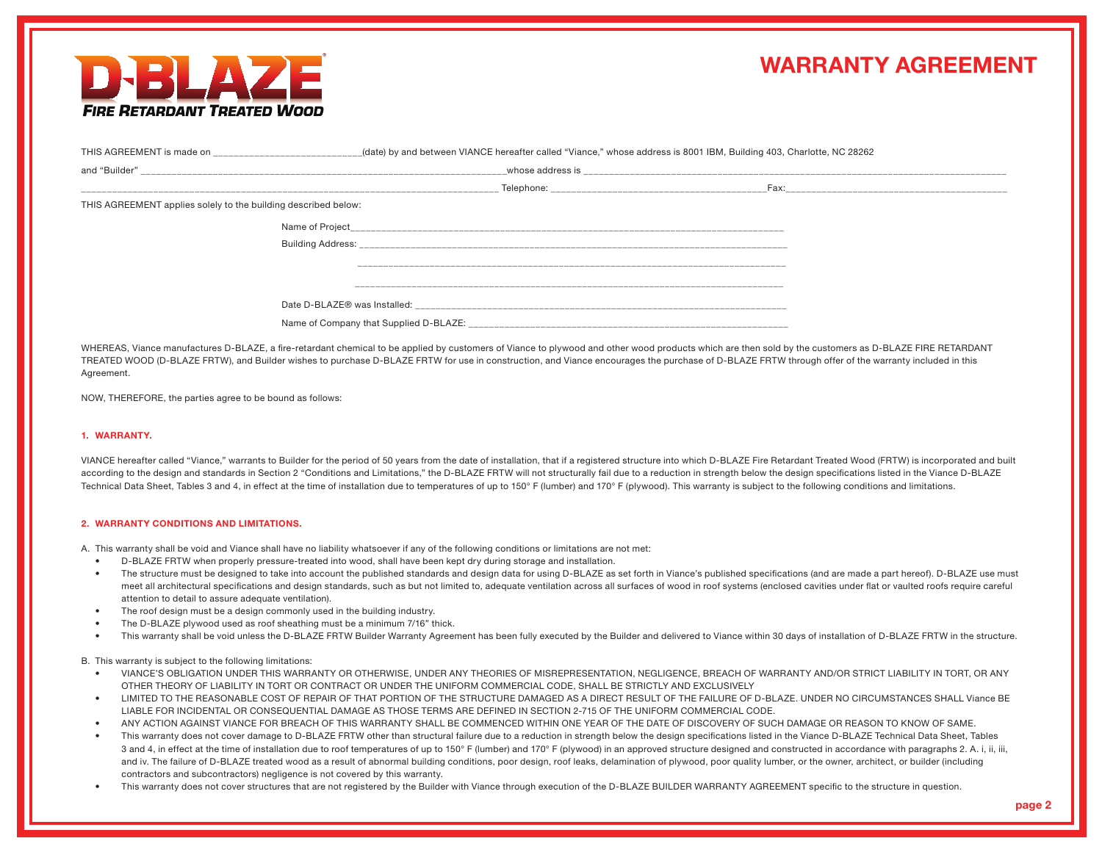

# WARRANTY AGREEMENT

| THIS AGREEMENT is made on                                      | (date) by and between VIANCE hereafter called "Viance," whose address is 8001 IBM, Building 403, Charlotte, NC 28262 |                                               |  |
|----------------------------------------------------------------|----------------------------------------------------------------------------------------------------------------------|-----------------------------------------------|--|
| and "Builder"                                                  | whose address is                                                                                                     |                                               |  |
|                                                                | Telephone:                                                                                                           | Fax:<br>------------------------------------- |  |
| THIS AGREEMENT applies solely to the building described below: |                                                                                                                      |                                               |  |
| Name of Project                                                |                                                                                                                      |                                               |  |
| <b>Building Address:</b>                                       |                                                                                                                      |                                               |  |
|                                                                |                                                                                                                      |                                               |  |
|                                                                |                                                                                                                      |                                               |  |
|                                                                | Date D-BLAZE® was Installed:                                                                                         |                                               |  |
|                                                                | Name of Company that Supplied D-BLAZE:                                                                               |                                               |  |

WHEREAS, Viance manufactures D-BLAZE, a fire-retardant chemical to be applied by customers of Viance to plywood and other wood products which are then sold by the customers as D-BLAZE FIRE RETARDANT TREATED WOOD (D-BLAZE FRTW), and Builder wishes to purchase D-BLAZE FRTW for use in construction, and Viance encourages the purchase of D-BLAZE FRTW through offer of the warranty included in this Agreement.

NOW, THEREFORE, the parties agree to be bound as follows:

### 1. WARRANTY.

VIANCE hereafter called "Viance," warrants to Builder for the period of 50 years from the date of installation, that if a registered structure into which D-BLAZE Fire Retardant Treated Wood (FRTW) is incorporated and built according to the design and standards in Section 2 "Conditions and Limitations," the D-BLAZE FRTW will not structurally fail due to a reduction in strength below the design specifications listed in the Viance D-BLAZE Technical Data Sheet, Tables 3 and 4, in effect at the time of installation due to temperatures of up to 150° F (lumber) and 170° F (plywood). This warranty is subject to the following conditions and limitations.

#### 2. WARRANTY CONDITIONS AND LIMITATIONS.

A. This warranty shall be void and Viance shall have no liability whatsoever if any of the following conditions or limitations are not met:

- D-BLAZE FRTW when properly pressure-treated into wood, shall have been kept dry during storage and installation.
- The structure must be designed to take into account the published standards and design data for using D-BLAZE as set forth in Viance's published specifications (and are made a part hereof). D-BLAZE use must meet all architectural specifications and design standards, such as but not limited to, adequate ventilation across all surfaces of wood in roof systems (enclosed cavities under flat or vaulted roofs require careful attention to detail to assure adequate ventilation).
- The roof design must be a design commonly used in the building industry.
- The D-BLAZE plywood used as roof sheathing must be a minimum 7/16" thick.
- This warranty shall be void unless the D-BLAZE FRTW Builder Warranty Agreement has been fully executed by the Builder and delivered to Viance within 30 days of installation of D-BLAZE FRTW in the structure.

B. This warranty is subject to the following limitations:

- VIANCE'S OBLIGATION UNDER THIS WARRANTY OR OTHERWISE, UNDER ANY THEORIES OF MISREPRESENTATION, NEGLIGENCE, BREACH OF WARRANTY AND/OR STRICT LIABILITY IN TORT, OR ANY OTHER THEORY OF LIABILITY IN TORT OR CONTRACT OR UNDER THE UNIFORM COMMERCIAL CODE, SHALL BE STRICTLY AND EXCLUSIVELY
- LIMITED TO THE REASONABLE COST OF REPAIR OF THAT PORTION OF THE STRUCTURE DAMAGED AS A DIRECT RESULT OF THE FAILURE OF D-BLAZE. UNDER NO CIRCUMSTANCES SHALL Viance BE LIABLE FOR INCIDENTAL OR CONSEQUENTIAL DAMAGE AS THOSE TERMS ARE DEFINED IN SECTION 2-715 OF THE UNIFORM COMMERCIAL CODE.
- ANY ACTION AGAINST VIANCE FOR BREACH OF THIS WARRANTY SHALL BE COMMENCED WITHIN ONE YEAR OF THE DATE OF DISCOVERY OF SUCH DAMAGE OR REASON TO KNOW OF SAME.
- This warranty does not cover damage to D-BLAZE FRTW other than structural failure due to a reduction in strength below the design specifications listed in the Viance D-BLAZE Technical Data Sheet, Tables 3 and 4, in effect at the time of installation due to roof temperatures of up to 150° F (lumber) and 170° F (plywood) in an approved structure designed and constructed in accordance with paragraphs 2. A. i, ii, iii, and iv. The failure of D-BLAZE treated wood as a result of abnormal building conditions, poor design, roof leaks, delamination of plywood, poor quality lumber, or the owner, architect, or builder (including contractors and subcontractors) negligence is not covered by this warranty.
- This warranty does not cover structures that are not registered by the Builder with Viance through execution of the D-BLAZE BUILDER WARRANTY AGREEMENT specific to the structure in question.